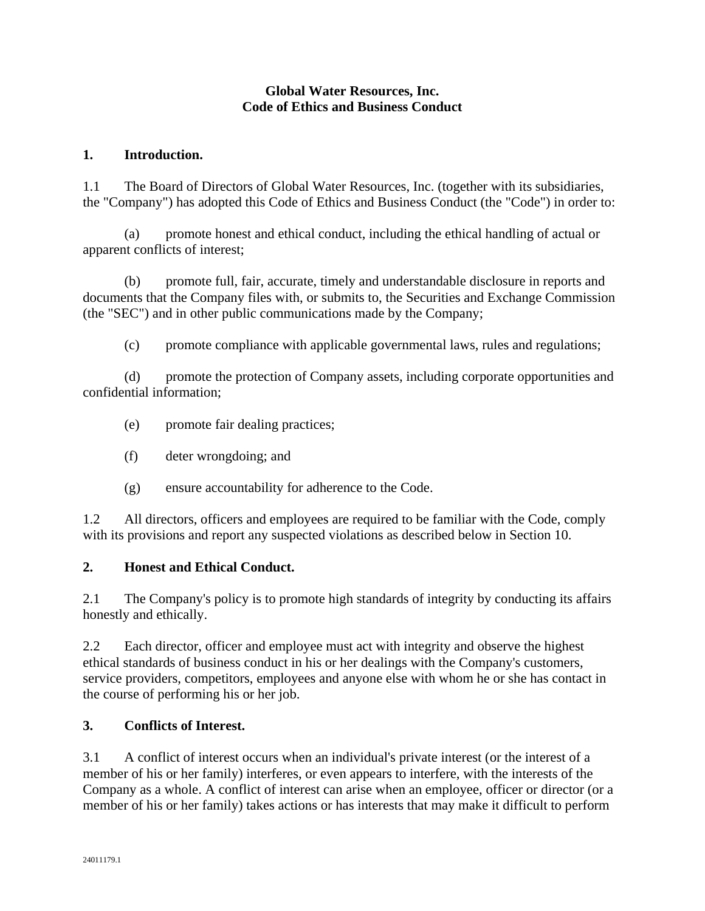# **Global Water Resources, Inc. Code of Ethics and Business Conduct**

## **1. Introduction.**

1.1 The Board of Directors of Global Water Resources, Inc. (together with its subsidiaries, the "Company") has adopted this Code of Ethics and Business Conduct (the "Code") in order to:

(a) promote honest and ethical conduct, including the ethical handling of actual or apparent conflicts of interest;

(b) promote full, fair, accurate, timely and understandable disclosure in reports and documents that the Company files with, or submits to, the Securities and Exchange Commission (the "SEC") and in other public communications made by the Company;

(c) promote compliance with applicable governmental laws, rules and regulations;

(d) promote the protection of Company assets, including corporate opportunities and confidential information;

- (e) promote fair dealing practices;
- (f) deter wrongdoing; and
- (g) ensure accountability for adherence to the Code.

1.2 All directors, officers and employees are required to be familiar with the Code, comply with its provisions and report any suspected violations as described below in Section 10.

### **2. Honest and Ethical Conduct.**

2.1 The Company's policy is to promote high standards of integrity by conducting its affairs honestly and ethically.

2.2 Each director, officer and employee must act with integrity and observe the highest ethical standards of business conduct in his or her dealings with the Company's customers, service providers, competitors, employees and anyone else with whom he or she has contact in the course of performing his or her job.

### **3. Conflicts of Interest.**

3.1 A conflict of interest occurs when an individual's private interest (or the interest of a member of his or her family) interferes, or even appears to interfere, with the interests of the Company as a whole. A conflict of interest can arise when an employee, officer or director (or a member of his or her family) takes actions or has interests that may make it difficult to perform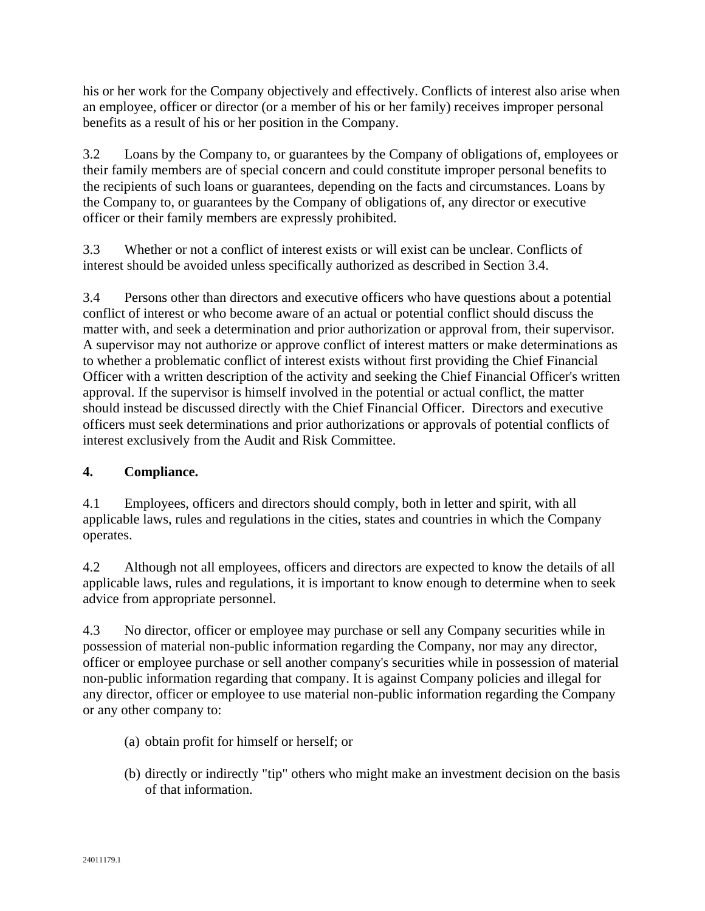his or her work for the Company objectively and effectively. Conflicts of interest also arise when an employee, officer or director (or a member of his or her family) receives improper personal benefits as a result of his or her position in the Company.

3.2 Loans by the Company to, or guarantees by the Company of obligations of, employees or their family members are of special concern and could constitute improper personal benefits to the recipients of such loans or guarantees, depending on the facts and circumstances. Loans by the Company to, or guarantees by the Company of obligations of, any director or executive officer or their family members are expressly prohibited.

3.3 Whether or not a conflict of interest exists or will exist can be unclear. Conflicts of interest should be avoided unless specifically authorized as described in Section 3.4.

3.4 Persons other than directors and executive officers who have questions about a potential conflict of interest or who become aware of an actual or potential conflict should discuss the matter with, and seek a determination and prior authorization or approval from, their supervisor. A supervisor may not authorize or approve conflict of interest matters or make determinations as to whether a problematic conflict of interest exists without first providing the Chief Financial Officer with a written description of the activity and seeking the Chief Financial Officer's written approval. If the supervisor is himself involved in the potential or actual conflict, the matter should instead be discussed directly with the Chief Financial Officer. Directors and executive officers must seek determinations and prior authorizations or approvals of potential conflicts of interest exclusively from the Audit and Risk Committee.

# **4. Compliance.**

4.1 Employees, officers and directors should comply, both in letter and spirit, with all applicable laws, rules and regulations in the cities, states and countries in which the Company operates.

4.2 Although not all employees, officers and directors are expected to know the details of all applicable laws, rules and regulations, it is important to know enough to determine when to seek advice from appropriate personnel.

4.3 No director, officer or employee may purchase or sell any Company securities while in possession of material non-public information regarding the Company, nor may any director, officer or employee purchase or sell another company's securities while in possession of material non-public information regarding that company. It is against Company policies and illegal for any director, officer or employee to use material non-public information regarding the Company or any other company to:

- (a) obtain profit for himself or herself; or
- (b) directly or indirectly "tip" others who might make an investment decision on the basis of that information.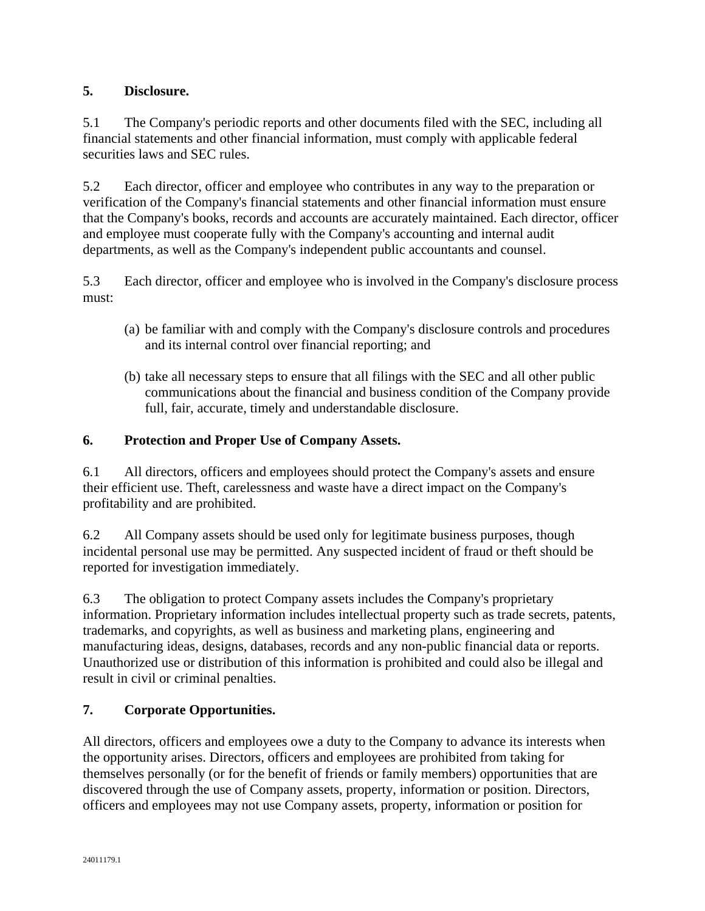# **5. Disclosure.**

5.1 The Company's periodic reports and other documents filed with the SEC, including all financial statements and other financial information, must comply with applicable federal securities laws and SEC rules.

5.2 Each director, officer and employee who contributes in any way to the preparation or verification of the Company's financial statements and other financial information must ensure that the Company's books, records and accounts are accurately maintained. Each director, officer and employee must cooperate fully with the Company's accounting and internal audit departments, as well as the Company's independent public accountants and counsel.

5.3 Each director, officer and employee who is involved in the Company's disclosure process must:

- (a) be familiar with and comply with the Company's disclosure controls and procedures and its internal control over financial reporting; and
- (b) take all necessary steps to ensure that all filings with the SEC and all other public communications about the financial and business condition of the Company provide full, fair, accurate, timely and understandable disclosure.

# **6. Protection and Proper Use of Company Assets.**

6.1 All directors, officers and employees should protect the Company's assets and ensure their efficient use. Theft, carelessness and waste have a direct impact on the Company's profitability and are prohibited.

6.2 All Company assets should be used only for legitimate business purposes, though incidental personal use may be permitted. Any suspected incident of fraud or theft should be reported for investigation immediately.

6.3 The obligation to protect Company assets includes the Company's proprietary information. Proprietary information includes intellectual property such as trade secrets, patents, trademarks, and copyrights, as well as business and marketing plans, engineering and manufacturing ideas, designs, databases, records and any non-public financial data or reports. Unauthorized use or distribution of this information is prohibited and could also be illegal and result in civil or criminal penalties.

# **7. Corporate Opportunities.**

All directors, officers and employees owe a duty to the Company to advance its interests when the opportunity arises. Directors, officers and employees are prohibited from taking for themselves personally (or for the benefit of friends or family members) opportunities that are discovered through the use of Company assets, property, information or position. Directors, officers and employees may not use Company assets, property, information or position for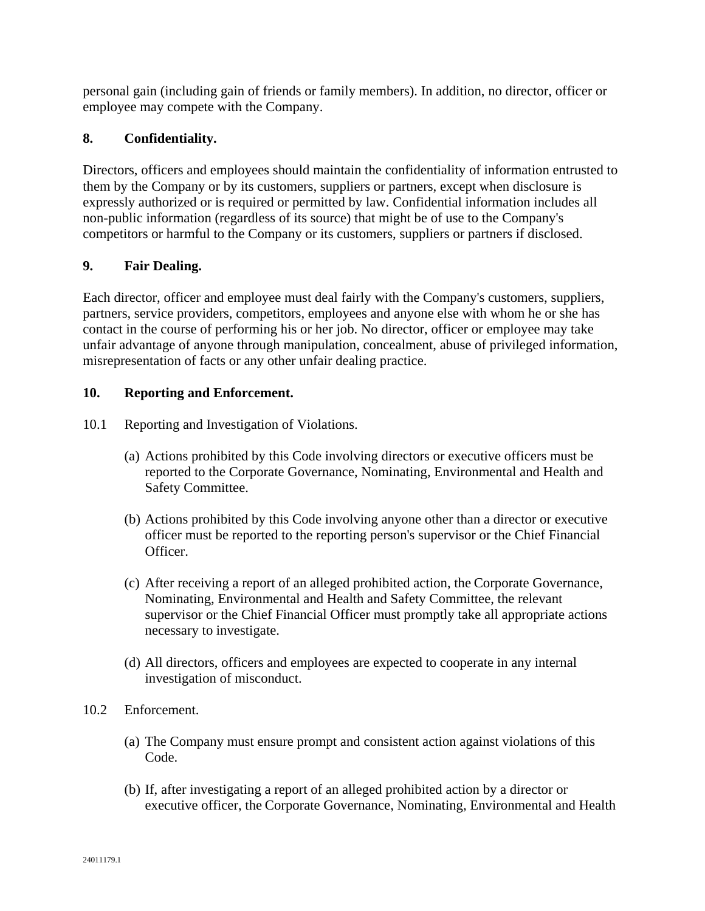personal gain (including gain of friends or family members). In addition, no director, officer or employee may compete with the Company.

# **8. Confidentiality.**

Directors, officers and employees should maintain the confidentiality of information entrusted to them by the Company or by its customers, suppliers or partners, except when disclosure is expressly authorized or is required or permitted by law. Confidential information includes all non-public information (regardless of its source) that might be of use to the Company's competitors or harmful to the Company or its customers, suppliers or partners if disclosed.

## **9. Fair Dealing.**

Each director, officer and employee must deal fairly with the Company's customers, suppliers, partners, service providers, competitors, employees and anyone else with whom he or she has contact in the course of performing his or her job. No director, officer or employee may take unfair advantage of anyone through manipulation, concealment, abuse of privileged information, misrepresentation of facts or any other unfair dealing practice.

### **10. Reporting and Enforcement.**

- 10.1 Reporting and Investigation of Violations.
	- (a) Actions prohibited by this Code involving directors or executive officers must be reported to the Corporate Governance, Nominating, Environmental and Health and Safety Committee.
	- (b) Actions prohibited by this Code involving anyone other than a director or executive officer must be reported to the reporting person's supervisor or the Chief Financial Officer.
	- (c) After receiving a report of an alleged prohibited action, the Corporate Governance, Nominating, Environmental and Health and Safety Committee, the relevant supervisor or the Chief Financial Officer must promptly take all appropriate actions necessary to investigate.
	- (d) All directors, officers and employees are expected to cooperate in any internal investigation of misconduct.
- 10.2 Enforcement.
	- (a) The Company must ensure prompt and consistent action against violations of this Code.
	- (b) If, after investigating a report of an alleged prohibited action by a director or executive officer, the Corporate Governance, Nominating, Environmental and Health